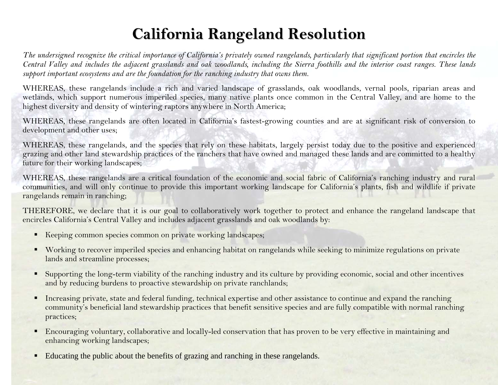## **California Rangeland Resolution**

*The undersigned recognize the critical importance of California's privately owned rangelands, particularly that significant portion that encircles the Central Valley and includes the adjacent grasslands and oak woodlands, including the Sierra foothills and the interior coast ranges. These lands support important ecosystems and are the foundation for the ranching industry that owns them.* 

WHEREAS, these rangelands include a rich and varied landscape of grasslands, oak woodlands, vernal pools, riparian areas and wetlands, which support numerous imperiled species, many native plants once common in the Central Valley, and are home to the highest diversity and density of wintering raptors anywhere in North America;

WHEREAS, these rangelands are often located in California's fastest-growing counties and are at significant risk of conversion to development and other uses;

WHEREAS, these rangelands, and the species that rely on these habitats, largely persist today due to the positive and experienced grazing and other land stewardship practices of the ranchers that have owned and managed these lands and are committed to a healthy future for their working landscapes;

WHEREAS, these rangelands are a critical foundation of the economic and social fabric of California's ranching industry and rural communities, and will only continue to provide this important working landscape for California's plants, fish and wildlife if private rangelands remain in ranching;

THEREFORE, we declare that it is our goal to collaboratively work together to protect and enhance the rangeland landscape that encircles California's Central Valley and includes adjacent grasslands and oak woodlands by:

- Keeping common species common on private working landscapes;
- Working to recover imperiled species and enhancing habitat on rangelands while seeking to minimize regulations on private lands and streamline processes;
- Supporting the long-term viability of the ranching industry and its culture by providing economic, social and other incentives and by reducing burdens to proactive stewardship on private ranchlands;
- $\blacksquare$  Increasing private, state and federal funding, technical expertise and other assistance to continue and expand the ranching community's beneficial land stewardship practices that benefit sensitive species and are fully compatible with normal ranching practices;
- Encouraging voluntary, collaborative and locally-led conservation that has proven to be very effective in maintaining and enhancing working landscapes;
- $\blacksquare$ Educating the public about the benefits of grazing and ranching in these rangelands.